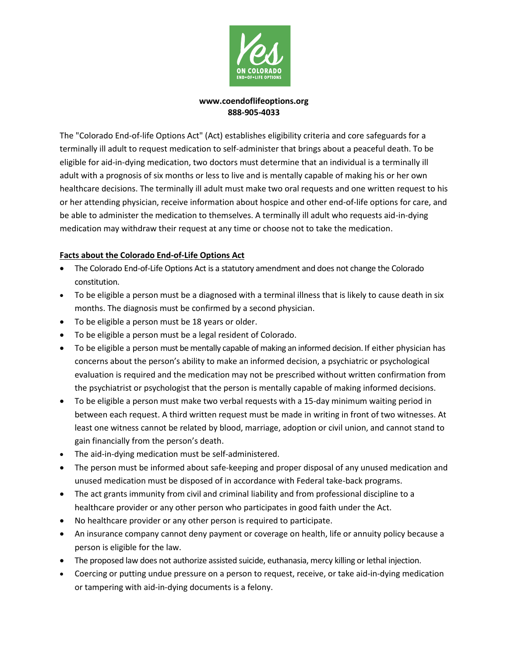

## **[www.coendoflifeoptions.org](http://www.coendoflifeoptions.org/) 888-905-4033**

The "Colorado End-of-life Options Act" (Act) establishes eligibility criteria and core safeguards for a terminally ill adult to request medication to self-administer that brings about a peaceful death. To be eligible for aid-in-dying medication, two doctors must determine that an individual is a terminally ill adult with a prognosis of six months or less to live and is mentally capable of making his or her own healthcare decisions. The terminally ill adult must make two oral requests and one written request to his or her attending physician, receive information about hospice and other end-of-life options for care, and be able to administer the medication to themselves. A terminally ill adult who requests aid-in-dying medication may withdraw their request at any time or choose not to take the medication.

# **Facts about the Colorado End-of-Life Options Act**

- The Colorado End-of-Life Options Act is a statutory amendment and does not change the Colorado constitution.
- To be eligible a person must be a diagnosed with a terminal illness that is likely to cause death in six months. The diagnosis must be confirmed by a second physician.
- To be eligible a person must be 18 years or older.
- To be eligible a person must be a legal resident of Colorado.
- To be eligible a person must be mentally capable of making an informed decision. If either physician has concerns about the person's ability to make an informed decision, a psychiatric or psychological evaluation is required and the medication may not be prescribed without written confirmation from the psychiatrist or psychologist that the person is mentally capable of making informed decisions.
- To be eligible a person must make two verbal requests with a 15-day minimum waiting period in between each request. A third written request must be made in writing in front of two witnesses. At least one witness cannot be related by blood, marriage, adoption or civil union, and cannot stand to gain financially from the person's death.
- The aid-in-dying medication must be self-administered.
- The person must be informed about safe-keeping and proper disposal of any unused medication and unused medication must be disposed of in accordance with Federal take-back programs.
- The act grants immunity from civil and criminal liability and from professional discipline to a healthcare provider or any other person who participates in good faith under the Act.
- No healthcare provider or any other person is required to participate.
- An insurance company cannot deny payment or coverage on health, life or annuity policy because a person is eligible for the law.
- The proposed law does not authorize assisted suicide, euthanasia, mercy killing or lethal injection.
- Coercing or putting undue pressure on a person to request, receive, or take aid-in-dying medication or tampering with aid-in-dying documents is a felony.